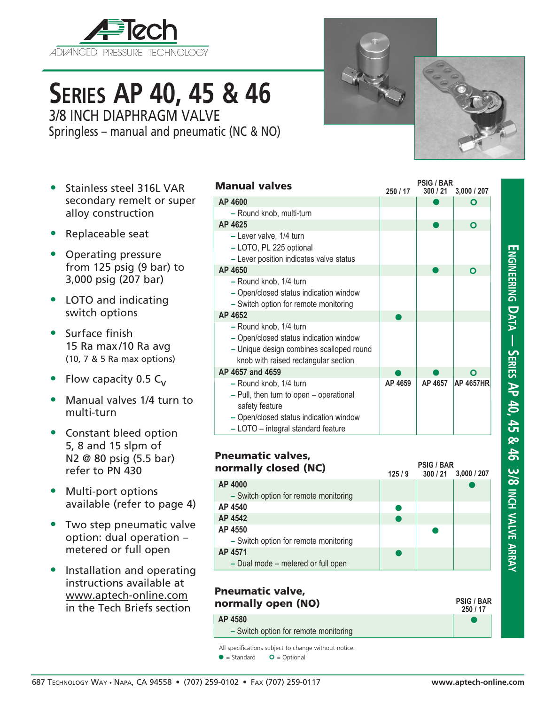

# **Series AP 40, 45 & 46** 3/8 INCH DIAPHRAGM VALVE

Springless – manual and pneumatic (NC & NO)

- Stainless steel 316L VAR secondary remelt or super alloy construction
- Replaceable seat
- Operating pressure from 125 psig (9 bar) to 3,000 psig (207 bar)
- LOTO and indicating switch options
- Surface finish 15 Ra max/10 Ra avg (10, 7 & 5 Ra max options)
- Flow capacity 0.5  $C_v$
- Manual valves 1/4 turn to multi-turn
- Constant bleed option 5, 8 and 15 slpm of N2 @ 80 psig (5.5 bar) refer to PN 430
- Multi-port options available (refer to page 4)
- Two step pneumatic valve option: dual operation – metered or full open
- Installation and operating instructions available at www.aptech-online.com in the Tech Briefs section

| <b>Manual valves</b>                                                                                                                                                | 250 / 17 | <b>PSIG / BAR</b><br>300/21 | 3,000 / 207      |
|---------------------------------------------------------------------------------------------------------------------------------------------------------------------|----------|-----------------------------|------------------|
| AP 4600                                                                                                                                                             |          |                             | O                |
| - Round knob, multi-turn                                                                                                                                            |          |                             |                  |
| AP 4625                                                                                                                                                             |          |                             | Ο                |
| - Lever valve, 1/4 turn<br>- LOTO, PL 225 optional<br>- Lever position indicates valve status                                                                       |          |                             |                  |
| AP 4650                                                                                                                                                             |          |                             | Ο                |
| - Round knob, 1/4 turn<br>- Open/closed status indication window<br>- Switch option for remote monitoring                                                           |          |                             |                  |
| AP 4652                                                                                                                                                             |          |                             |                  |
| - Round knob, 1/4 turn<br>- Open/closed status indication window<br>- Unique design combines scalloped round<br>knob with raised rectangular section                |          |                             |                  |
| AP 4657 and 4659                                                                                                                                                    |          |                             | Ο                |
| - Round knob, 1/4 turn<br>- Pull, then turn to open - operational<br>safety feature<br>- Open/closed status indication window<br>- LOTO - integral standard feature | AP 4659  | AP 4657                     | <b>AP 4657HR</b> |

| <b>Pneumatic valves,</b><br>normally closed (NC) | 125/9 | <b>PSIG / BAR</b> | $300 / 21$ 3,000 / 207 |
|--------------------------------------------------|-------|-------------------|------------------------|
| AP 4000                                          |       |                   |                        |
| - Switch option for remote monitoring            |       |                   |                        |
| AP 4540                                          |       |                   |                        |
| AP 4542                                          |       |                   |                        |
| AP 4550                                          |       |                   |                        |
| - Switch option for remote monitoring            |       |                   |                        |
| AP 4571                                          |       |                   |                        |
| - Dual mode - metered or full open               |       |                   |                        |

## Pneumatic valve, normally open (NO) **AP 4580**

**–** Switch option for remote monitoring

All specifications subject to change without notice.

 $\bullet$  = Standard  $\bullet$  = Optional



 $\bullet$ **250 / 17**

**PSIG / BAR**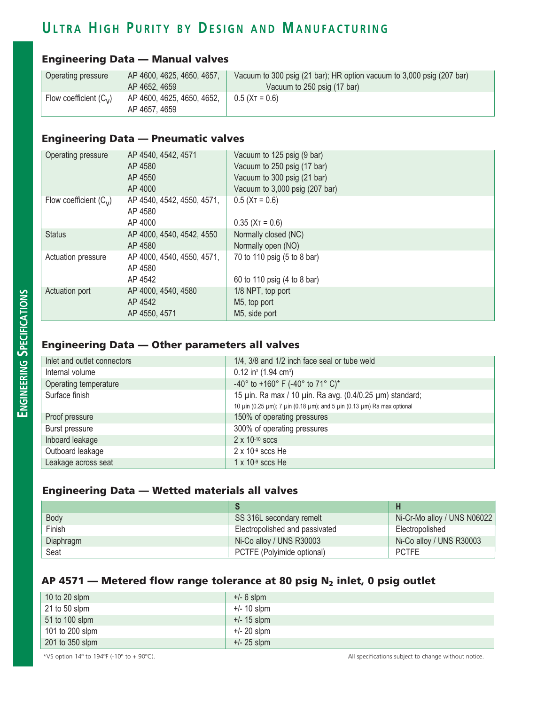# ULTRA HIGH PURITY BY DESIGN AND MANUFACTURING

#### Engineering Data — Manual valves

| Operating pressure       | AP 4600, 4625, 4650, 4657,<br>AP 4652, 4659 | Vacuum to 300 psig (21 bar); HR option vacuum to 3,000 psig (207 bar)<br>Vacuum to 250 psig (17 bar) |
|--------------------------|---------------------------------------------|------------------------------------------------------------------------------------------------------|
| Flow coefficient $(C_v)$ | AP 4600, 4625, 4650, 4652,<br>AP 4657, 4659 | $0.5$ (XT = 0.6)                                                                                     |

## Engineering Data — Pneumatic valves

| Operating pressure       | AP 4540, 4542, 4571<br>AP 4580<br>AP 4550<br>AP 4000 | Vacuum to 125 psig (9 bar)<br>Vacuum to 250 psig (17 bar)<br>Vacuum to 300 psig (21 bar)<br>Vacuum to 3,000 psig (207 bar) |
|--------------------------|------------------------------------------------------|----------------------------------------------------------------------------------------------------------------------------|
| Flow coefficient $(C_v)$ | AP 4540, 4542, 4550, 4571,<br>AP 4580<br>AP 4000     | $0.5$ (X <sub>T</sub> = 0.6)<br>$0.35$ (X <sub>T</sub> = 0.6)                                                              |
| <b>Status</b>            | AP 4000, 4540, 4542, 4550<br>AP 4580                 | Normally closed (NC)<br>Normally open (NO)                                                                                 |
| Actuation pressure       | AP 4000, 4540, 4550, 4571,<br>AP 4580<br>AP 4542     | 70 to 110 psig (5 to 8 bar)<br>60 to 110 psig (4 to 8 bar)                                                                 |
| Actuation port           | AP 4000, 4540, 4580<br>AP 4542<br>AP 4550, 4571      | 1/8 NPT, top port<br>M5, top port<br>M5, side port                                                                         |

### Engineering Data — Other parameters all valves

| Inlet and outlet connectors | 1/4, 3/8 and 1/2 inch face seal or tube weld                           |
|-----------------------------|------------------------------------------------------------------------|
| Internal volume             | $0.12$ in <sup>3</sup> (1.94 cm <sup>3</sup> )                         |
| Operating temperature       | -40° to +160° F (-40° to 71° C)*                                       |
| Surface finish              | 15 µin. Ra max / 10 µin. Ra avg. (0.4/0.25 µm) standard;               |
|                             | 10 μin (0.25 μm); 7 μin (0.18 μm); and 5 μin (0.13 μm) Ra max optional |
| Proof pressure              | 150% of operating pressures                                            |
| Burst pressure              | 300% of operating pressures                                            |
| Inboard leakage             | $2 \times 10^{-10}$ sccs                                               |
| Outboard leakage            | $2 \times 10^{-9}$ sccs He                                             |
| Leakage across seat         | $1 \times 10^{-9}$ sccs He                                             |

#### Engineering Data — Wetted materials all valves

| Body      | SS 316L secondary remelt       | Ni-Cr-Mo alloy / UNS N06022 |
|-----------|--------------------------------|-----------------------------|
| Finish    | Electropolished and passivated | Electropolished             |
| Diaphragm | Ni-Co alloy / UNS R30003       | Ni-Co alloy / UNS R30003    |
| Seat      | PCTFE (Polyimide optional)     | <b>PCTFE</b>                |

#### AP 4571 – Metered flow range tolerance at 80 psig  $N_2$  inlet, 0 psig outlet

| $+/- 6$ slpm  |
|---------------|
| $+/- 10$ slpm |
| $+/- 15$ slpm |
| $+/- 20$ slpm |
| $+/- 25$ slpm |
|               |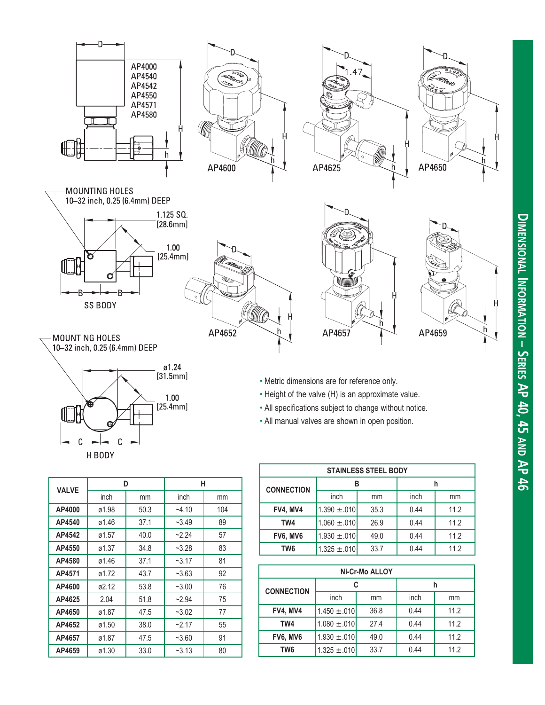

- ø1.24 $[31.5mm]$  $\begin{array}{c} 1.00 \\ \text{[25.4mm]} \end{array}$ H BODY
- Metric dimensions are for reference only.
- Height of the valve (H) is an approximate value.
- All specifications subject to change without notice.
- All manual valves are shown in open position.

| <b>STAINLESS STEEL BODY</b> |                  |      |      |      |
|-----------------------------|------------------|------|------|------|
| <b>CONNECTION</b>           |                  |      |      |      |
|                             | inch             | mm   | inch | mm   |
| FV4, MV4                    | $1.390 \pm .010$ | 35.3 | 0.44 | 11.2 |
| TW4                         | $1.060 \pm .010$ | 26.9 | 0.44 | 11.2 |
| FV6, MV6                    | $1.930 \pm .010$ | 49.0 | 0.44 | 11.2 |
| TW <sub>6</sub>             | $1.325 \pm .010$ | 33.7 | 0.44 | 11.2 |

| Ni-Cr-Mo ALLOY    |                  |      |      |      |
|-------------------|------------------|------|------|------|
| <b>CONNECTION</b> | C                |      | h    |      |
|                   | inch             | mm   | inch | mm   |
| <b>FV4, MV4</b>   | $1.450 \pm .010$ | 36.8 | 0.44 | 11.2 |
| TW4               | $1.080 \pm .010$ | 27.4 | 0.44 | 11.2 |
| FV6, MV6          | $1.930 \pm .010$ | 49.0 | 0.44 | 11.2 |
| TW6               | $1.325 \pm .010$ | 33.7 | 0.44 | 11.2 |

| <b>VALVE</b> | D     |      | н       |     |
|--------------|-------|------|---------|-----|
|              | inch  | mm   | inch    | mm  |
| AP4000       | ø1.98 | 50.3 | $-4.10$ | 104 |
| AP4540       | ø1.46 | 37.1 | $-3.49$ | 89  |
| AP4542       | ø1.57 | 40.0 | $-2.24$ | 57  |
| AP4550       | ø1.37 | 34.8 | $-3.28$ | 83  |
| AP4580       | ø1.46 | 37.1 | $-3.17$ | 81  |
| AP4571       | ø1.72 | 43.7 | $-3.63$ | 92  |
| AP4600       | ø2.12 | 53.8 | $-3.00$ | 76  |
| AP4625       | 2.04  | 51.8 | $-2.94$ | 75  |
| AP4650       | ø1.87 | 47.5 | $-3.02$ | 77  |
| AP4652       | ø1.50 | 38.0 | $-2.17$ | 55  |
| AP4657       | ø1.87 | 47.5 | $-3.60$ | 91  |
| AP4659       | ø1.30 | 33.0 | $-3.13$ | 80  |